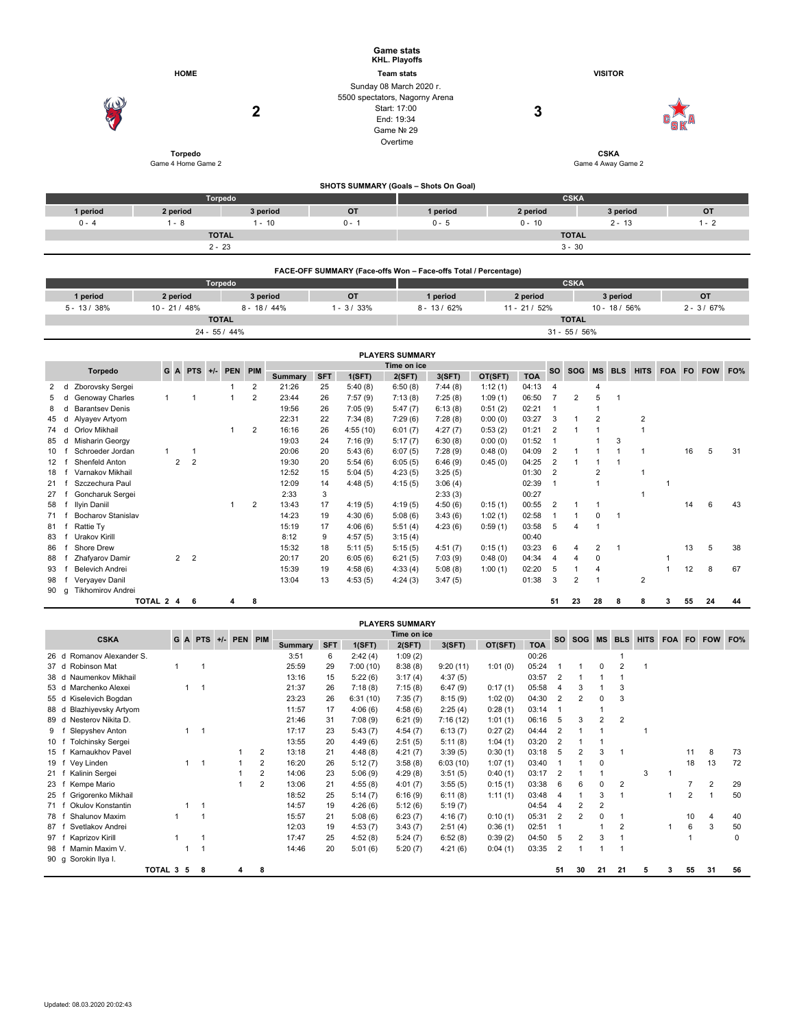|                |                               |                 |                                                                         | <b>Game stats</b><br>KHL. Playoffs     |                         |                 |                |
|----------------|-------------------------------|-----------------|-------------------------------------------------------------------------|----------------------------------------|-------------------------|-----------------|----------------|
|                | <b>HOME</b>                   |                 |                                                                         | <b>Team stats</b>                      |                         | <b>VISITOR</b>  |                |
| W<br>Q         | Torpedo<br>Game 4 Home Game 2 | $\mathbf{2}$    | Sunday 08 March 2020 r.<br>5500 spectators, Nagorny Arena<br>Game Nº 29 | Start: 17:00<br>End: 19:34<br>Overtime | 3<br>Game 4 Away Game 2 |                 |                |
|                |                               |                 |                                                                         | SHOTS SUMMARY (Goals - Shots On Goal)  |                         |                 |                |
|                |                               | Torpedo         |                                                                         |                                        | <b>CSKA</b>             |                 |                |
| 1 period       | 2 period                      | 3 period        | <b>OT</b>                                                               | 1 period                               | 2 period                | 3 period        | OT             |
| $0 - 4$        | $1 - 8$                       | $1 - 10$        | $0 - 1$                                                                 | $0 - 5$                                | $0 - 10$                | $2 - 13$        | $1 - 2$        |
|                |                               | <b>TOTAL</b>    |                                                                         |                                        | <b>TOTAL</b>            |                 |                |
|                | $2 - 23$                      |                 |                                                                         |                                        | $3 - 30$                |                 |                |
|                |                               |                 | FACE-OFF SUMMARY (Face-offs Won - Face-offs Total / Percentage)         |                                        |                         |                 |                |
|                |                               | Torpedo         |                                                                         |                                        | <b>CSKA</b>             |                 |                |
| 1 period       | 2 period                      | 3 period        | <b>OT</b>                                                               | 1 period                               | 2 period                | 3 period        | <b>OT</b>      |
| $5 - 13 / 38%$ | $10 - 21/48%$                 | $8 - 18 / 44\%$ | $1 - 3 / 33%$                                                           | $8 - 13 / 62%$                         | $11 - 21 / 52%$         | $10 - 18 / 56%$ | $2 - 3 / 67\%$ |
|                | <b>TOTAL</b>                  |                 |                                                                         |                                        | <b>TOTAL</b>            |                 |                |

|    |   |                           |              |                |                |       |            |     |         |            |          | <b>PLAYERS SUMMARY</b> |         |         |            |                |            |                |            |             |            |    |            |     |
|----|---|---------------------------|--------------|----------------|----------------|-------|------------|-----|---------|------------|----------|------------------------|---------|---------|------------|----------------|------------|----------------|------------|-------------|------------|----|------------|-----|
|    |   |                           | GA           |                | <b>PTS</b>     | $+/-$ | <b>PEN</b> | PIM |         |            |          | Time on ice            |         |         |            | <b>SO</b>      | <b>SOG</b> | <b>MS</b>      | <b>BLS</b> | <b>HITS</b> | <b>FOA</b> | FO | <b>FOW</b> | FO% |
|    |   | Torpedo                   |              |                |                |       |            |     | Summary | <b>SFT</b> | 1(SFT)   | 2(SFT)                 | 3(SFT)  | OT(SFT) | <b>TOA</b> |                |            |                |            |             |            |    |            |     |
| 2  | d | Zborovsky Sergei          |              |                |                |       |            | 2   | 21:26   | 25         | 5:40(8)  | 6:50(8)                | 7:44(8) | 1:12(1) | 04:13      | 4              |            |                |            |             |            |    |            |     |
| 5  |   | Genoway Charles           | $\mathbf{1}$ |                |                |       |            | 2   | 23:44   | 26         | 7:57(9)  | 7:13(8)                | 7:25(8) | 1:09(1) | 06:50      |                | 2          | 5              |            |             |            |    |            |     |
| 8  | d | <b>Barantsey Denis</b>    |              |                |                |       |            |     | 19:56   | 26         | 7:05(9)  | 5:47(7)                | 6:13(8) | 0:51(2) | 02:21      |                |            |                |            |             |            |    |            |     |
| 45 | d | Alyayev Artyom            |              |                |                |       |            |     | 22:31   | 22         | 7:34(8)  | 7:29(6)                | 7:28(8) | 0:00(0) | 03:27      | 3              |            | $\overline{2}$ |            | 2           |            |    |            |     |
| 74 | d | Orlov Mikhail             |              |                |                |       |            | 2   | 16:16   | 26         | 4:55(10) | 6:01(7)                | 4:27(7) | 0:53(2) | 01:21      | 2              |            |                |            |             |            |    |            |     |
| 85 | d | Misharin Georgy           |              |                |                |       |            |     | 19:03   | 24         | 7:16(9)  | 5:17(7)                | 6:30(8) | 0:00(0) | 01:52      |                |            |                | 3          |             |            |    |            |     |
| 10 |   | Schroeder Jordan          |              |                |                |       |            |     | 20:06   | 20         | 5:43(6)  | 6:07(5)                | 7:28(9) | 0:48(0) | 04:09      | $\overline{2}$ |            |                |            |             |            | 16 | 5          | 31  |
| 12 |   | Shenfeld Anton            |              | $\overline{2}$ | $\overline{2}$ |       |            |     | 19:30   | 20         | 5:54(6)  | 6:05(5)                | 6:46(9) | 0:45(0) | 04:25      | 2              |            |                |            |             |            |    |            |     |
| 18 |   | Varnakov Mikhail          |              |                |                |       |            |     | 12:52   | 15         | 5:04(5)  | 4:23(5)                | 3:25(5) |         | 01:30      | $\overline{2}$ |            | $\overline{2}$ |            |             |            |    |            |     |
| 21 |   | Szczechura Paul           |              |                |                |       |            |     | 12:09   | 14         | 4:48(5)  | 4:15(5)                | 3:06(4) |         | 02:39      |                |            |                |            |             |            |    |            |     |
| 27 |   | Goncharuk Sergei          |              |                |                |       |            |     | 2:33    | 3          |          |                        | 2:33(3) |         | 00:27      |                |            |                |            |             |            |    |            |     |
| 58 |   | Ilyin Daniil              |              |                |                |       |            | 2   | 13:43   | 17         | 4:19(5)  | 4:19(5)                | 4:50(6) | 0:15(1) | 00:55      | 2              |            |                |            |             |            | 14 | 6          | 43  |
| 71 |   | <b>Bocharov Stanislav</b> |              |                |                |       |            |     | 14:23   | 19         | 4:30(6)  | 5:08(6)                | 3:43(6) | 1:02(1) | 02:58      |                |            | $\mathbf 0$    |            |             |            |    |            |     |
| 81 |   | Rattie Ty                 |              |                |                |       |            |     | 15:19   | 17         | 4:06(6)  | 5:51(4)                | 4:23(6) | 0:59(1) | 03:58      | 5              | 4          |                |            |             |            |    |            |     |
| 83 |   | <b>Urakov Kirill</b>      |              |                |                |       |            |     | 8:12    | 9          | 4:57(5)  | 3:15(4)                |         |         | 00:40      |                |            |                |            |             |            |    |            |     |
| 86 |   | Shore Drew                |              |                |                |       |            |     | 15:32   | 18         | 5:11(5)  | 5:15(5)                | 4:51(7) | 0:15(1) | 03:23      | 6              | 4          | 2              |            |             |            | 13 | 5          | 38  |
| 88 |   | Zhafyarov Damir           |              | $2 \quad 2$    |                |       |            |     | 20:17   | 20         | 6:05(6)  | 6:21(5)                | 7:03(9) | 0:48(0) | 04:34      | 4              | 4          | 0              |            |             |            |    |            |     |
| 93 |   | Belevich Andrei           |              |                |                |       |            |     | 15:39   | 19         | 4:58(6)  | 4:33(4)                | 5:08(8) | 1:00(1) | 02:20      | 5              |            |                |            |             |            | 12 | 8          | 67  |
| 98 |   | Veryayev Danil            |              |                |                |       |            |     | 13:04   | 13         | 4:53(5)  | 4:24(3)                | 3:47(5) |         | 01:38      | 3              | 2          |                |            | 2           |            |    |            |     |
| 90 | q | <b>Tikhomirov Andrei</b>  |              |                |                |       |            |     |         |            |          |                        |         |         |            |                |            |                |            |             |            |    |            |     |
|    |   | TOTAL 2 4                 |              |                | 6              |       | 4          | 8   |         |            |          |                        |         |         |            | 51             | 23         | 28             | 8          | 8           | 3          | 55 | 24         | 44  |

24 - 55 / 44% 31 - 55 / 56%

|                                             |           |   |         |             |                |                |            |          | <b>PLAYERS SUMMARY</b> |          |         |            |                |                |    |                |             |   |    |                |     |
|---------------------------------------------|-----------|---|---------|-------------|----------------|----------------|------------|----------|------------------------|----------|---------|------------|----------------|----------------|----|----------------|-------------|---|----|----------------|-----|
| <b>CSKA</b>                                 |           |   | G A PTS | +/- PEN PIM |                |                |            |          | Time on ice            |          |         |            | <b>SO</b>      | SOG MS         |    | <b>BLS</b>     | <b>HITS</b> |   |    | FOA FO FOW     | FO% |
|                                             |           |   |         |             |                | <b>Summary</b> | <b>SFT</b> | 1(SFT)   | 2(SFT)                 | 3(SFT)   | OT(SFT) | <b>TOA</b> |                |                |    |                |             |   |    |                |     |
| Romanov Alexander S.<br>26d                 |           |   |         |             |                | 3:51           | 6          | 2:42(4)  | 1:09(2)                |          |         | 00:26      |                |                |    |                |             |   |    |                |     |
| Robinson Mat<br>37 d                        |           |   | 1       |             |                | 25:59          | 29         | 7:00(10) | 8:38(8)                | 9:20(11) | 1:01(0) | 05:24      |                |                | 0  | $\overline{2}$ |             |   |    |                |     |
| Naumenkov Mikhail<br>38 d                   |           |   |         |             |                | 13:16          | 15         | 5:22(6)  | 3:17(4)                | 4:37(5)  |         | 03:57      | $\overline{2}$ |                |    |                |             |   |    |                |     |
| Marchenko Alexei<br>53 d                    |           | 1 | - 1     |             |                | 21:37          | 26         | 7:18(8)  | 7:15(8)                | 6:47(9)  | 0:17(1) | 05:58      | 4              |                |    | 3              |             |   |    |                |     |
| Kiselevich Bogdan<br>55 d                   |           |   |         |             |                | 23:23          | 26         | 6:31(10) | 7:35(7)                | 8:15(9)  | 1:02(0) | 04:30      | 2              | 2              | 0  | 3              |             |   |    |                |     |
| Blazhiyevsky Artyom<br>88 d                 |           |   |         |             |                | 11:57          | 17         | 4:06(6)  | 4:58(6)                | 2:25(4)  | 0:28(1) | 03:14      |                |                |    |                |             |   |    |                |     |
| Nesterov Nikita D.<br>89 d                  |           |   |         |             |                | 21:46          | 31         | 7:08(9)  | 6:21(9)                | 7:16(12) | 1:01(1) | 06:16      | 5              | 3              | 2  | $\overline{2}$ |             |   |    |                |     |
| Slepyshev Anton<br>9                        |           |   | -1      |             |                | 17:17          | 23         | 5:43(7)  | 4:54(7)                | 6:13(7)  | 0:27(2) | 04:44      | 2              |                |    |                |             |   |    |                |     |
| <b>Tolchinsky Sergei</b><br>10 <sub>1</sub> |           |   |         |             |                | 13:55          | 20         | 4:49(6)  | 2:51(5)                | 5:11(8)  | 1:04(1) | 03:20      | 2              |                |    |                |             |   |    |                |     |
| Karnaukhov Pavel<br>15                      |           |   |         |             | 2              | 13:18          | 21         | 4:48(8)  | 4:21(7)                | 3:39(5)  | 0:30(1) | 03:18      | 5              | $\overline{2}$ | 3  |                |             |   | 11 | 8              | 73  |
| Vey Linden<br>19 1                          |           | 1 | - 1     |             | 2              | 16:20          | 26         | 5:12(7)  | 3:58(8)                | 6:03(10) | 1:07(1) | 03:40      |                |                | 0  |                |             |   | 18 | 13             | 72  |
| Kalinin Sergei<br>21                        |           |   |         |             | 2              | 14:06          | 23         | 5:06(9)  | 4:29(8)                | 3:51(5)  | 0:40(1) | 03:17      | 2              |                |    |                | 3           |   |    |                |     |
| Kempe Mario<br>23                           |           |   |         |             | $\overline{2}$ | 13:06          | 21         | 4:55(8)  | 4:01(7)                | 3:55(5)  | 0:15(1) | 03:38      | 6              | 6              | 0  | $\overline{2}$ |             |   |    | $\overline{2}$ | 29  |
| Grigorenko Mikhail<br>25                    |           |   |         |             |                | 18:52          | 25         | 5:14(7)  | 6:16(9)                | 6:11(8)  | 1:11(1) | 03:48      | 4              |                | 3  |                |             |   | 2  |                | 50  |
| Okulov Konstantin<br>71 f                   |           |   |         |             |                | 14:57          | 19         | 4:26(6)  | 5:12(6)                | 5:19(7)  |         | 04:54      | 4              | 2              | 2  |                |             |   |    |                |     |
| <b>Shalunov Maxim</b><br>78                 |           |   |         |             |                | 15:57          | 21         | 5:08(6)  | 6:23(7)                | 4:16(7)  | 0:10(1) | 05:31      | 2              | 2              | O  |                |             |   | 10 | 4              | 40  |
| Svetlakov Andrei<br>87                      |           |   |         |             |                | 12:03          | 19         | 4:53(7)  | 3:43(7)                | 2:51(4)  | 0:36(1) | 02:51      |                |                |    | $\overline{2}$ |             |   | 6  | 3              | 50  |
| Kaprizov Kirill<br>97                       |           |   |         |             |                | 17:47          | 25         | 4:52(8)  | 5:24(7)                | 6:52(8)  | 0:39(2) | 04:50      | 5              | 2              | 3  |                |             |   |    |                | 0   |
| Mamin Maxim V.<br>98                        |           |   |         |             |                | 14:46          | 20         | 5:01(6)  | 5:20(7)                | 4:21(6)  | 0:04(1) | 03:35      | $\overline{2}$ |                |    |                |             |   |    |                |     |
| 90 g Sorokin Ilya I.                        |           |   |         |             |                |                |            |          |                        |          |         |            |                |                |    |                |             |   |    |                |     |
|                                             | TOTAL 3 5 |   | 8       | 4           | 8              |                |            |          |                        |          |         |            | 51             | 30             | 21 | 21             | 5           | 3 | 55 | 31             | 56  |